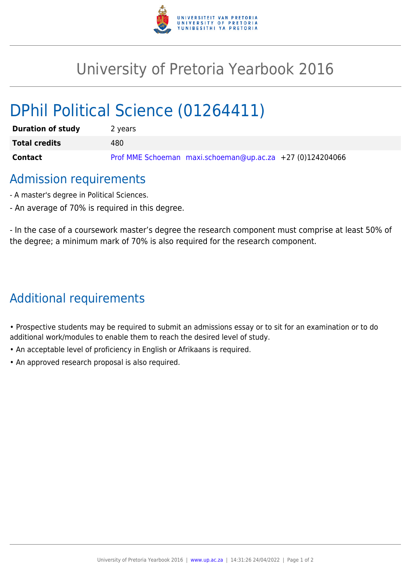

## University of Pretoria Yearbook 2016

# DPhil Political Science (01264411)

| <b>Duration of study</b> | 2 years                                                   |
|--------------------------|-----------------------------------------------------------|
| <b>Total credits</b>     | 480                                                       |
| Contact                  | Prof MME Schoeman maxi.schoeman@up.ac.za +27 (0)124204066 |

### Admission requirements

- A master's degree in Political Sciences.
- An average of 70% is required in this degree.

- In the case of a coursework master's degree the research component must comprise at least 50% of the degree; a minimum mark of 70% is also required for the research component.

## Additional requirements

• Prospective students may be required to submit an admissions essay or to sit for an examination or to do additional work/modules to enable them to reach the desired level of study.

- An acceptable level of proficiency in English or Afrikaans is required.
- An approved research proposal is also required.